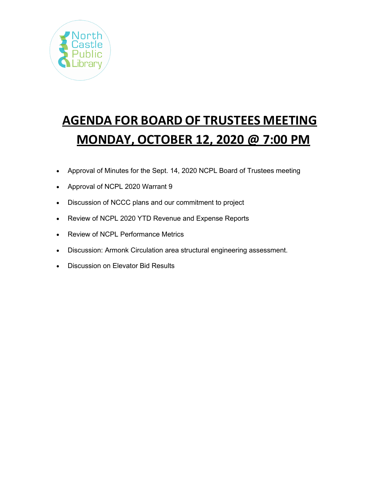

# **AGENDA FOR BOARD OF TRUSTEES MEETING MONDAY, OCTOBER 12, 2020 @ 7:00 PM**

- Approval of Minutes for the Sept. 14, 2020 NCPL Board of Trustees meeting
- Approval of NCPL 2020 Warrant 9
- Discussion of NCCC plans and our commitment to project
- Review of NCPL 2020 YTD Revenue and Expense Reports
- Review of NCPL Performance Metrics
- Discussion: Armonk Circulation area structural engineering assessment.
- Discussion on Elevator Bid Results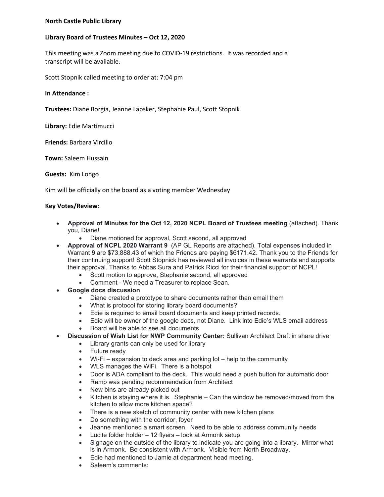#### **North Castle Public Library**

## **Library Board of Trustees Minutes – Oct 12, 2020**

This meeting was a Zoom meeting due to COVID-19 restrictions. It was recorded and a transcript will be available.

Scott Stopnik called meeting to order at: 7:04 pm

#### **In Attendance :**

**Trustees:** Diane Borgia, Jeanne Lapsker, Stephanie Paul, Scott Stopnik

**Library:** Edie Martimucci

**Friends:** Barbara Vircillo

**Town:** Saleem Hussain

**Guests:** Kim Longo

Kim will be officially on the board as a voting member Wednesday

## **Key Votes/Review**:

- **Approval of Minutes for the Oct 12, 2020 NCPL Board of Trustees meeting** (attached). Thank you, Diane!
	- Diane motioned for approval, Scott second, all approved
- **Approval of NCPL 2020 Warrant 9** (AP GL Reports are attached). Total expenses included in Warrant **9** are \$73,888.43 of which the Friends are paying \$6171.42. Thank you to the Friends for their continuing support! Scott Stopnick has reviewed all invoices in these warrants and supports their approval. Thanks to Abbas Sura and Patrick Ricci for their financial support of NCPL!
	- Scott motion to approve, Stephanie second, all approved
	- Comment We need a Treasurer to replace Sean.
- **Google docs discussion**
	- Diane created a prototype to share documents rather than email them
	- What is protocol for storing library board documents?
	- Edie is required to email board documents and keep printed records.
	- Edie will be owner of the google docs, not Diane. Link into Edie's WLS email address
	- Board will be able to see all documents
- **Discussion of Wish List for NWP Community Center:** Sullivan Architect Draft in share drive
	- Library grants can only be used for library
	- Future ready
	- Wi-Fi expansion to deck area and parking lot help to the community
	- WLS manages the WiFi. There is a hotspot
	- Door is ADA compliant to the deck. This would need a push button for automatic door
	- Ramp was pending recommendation from Architect
	- New bins are already picked out
	- Kitchen is staying where it is. Stephanie Can the window be removed/moved from the kitchen to allow more kitchen space?
	- There is a new sketch of community center with new kitchen plans
	- Do something with the corridor, foyer
	- Jeanne mentioned a smart screen. Need to be able to address community needs
	- Lucite folder holder 12 flyers look at Armonk setup
	- Signage on the outside of the library to indicate you are going into a library. Mirror what is in Armonk. Be consistent with Armonk. Visible from North Broadway.
	- Edie had mentioned to Jamie at department head meeting.
	- Saleem's comments: